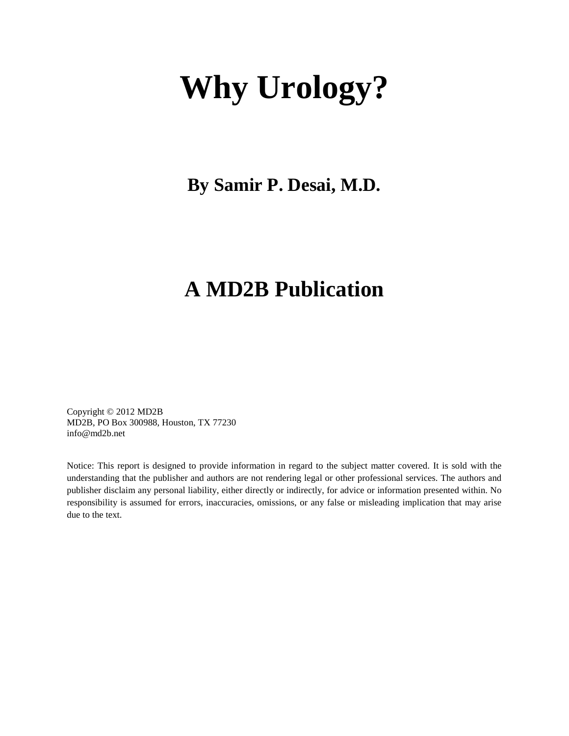# **Why Urology?**

**By Samir P. Desai, M.D.**

#### **A MD2B Publication**

Copyright © 2012 MD2B MD2B, PO Box 300988, Houston, TX 77230 info@md2b.net

Notice: This report is designed to provide information in regard to the subject matter covered. It is sold with the understanding that the publisher and authors are not rendering legal or other professional services. The authors and publisher disclaim any personal liability, either directly or indirectly, for advice or information presented within. No responsibility is assumed for errors, inaccuracies, omissions, or any false or misleading implication that may arise due to the text.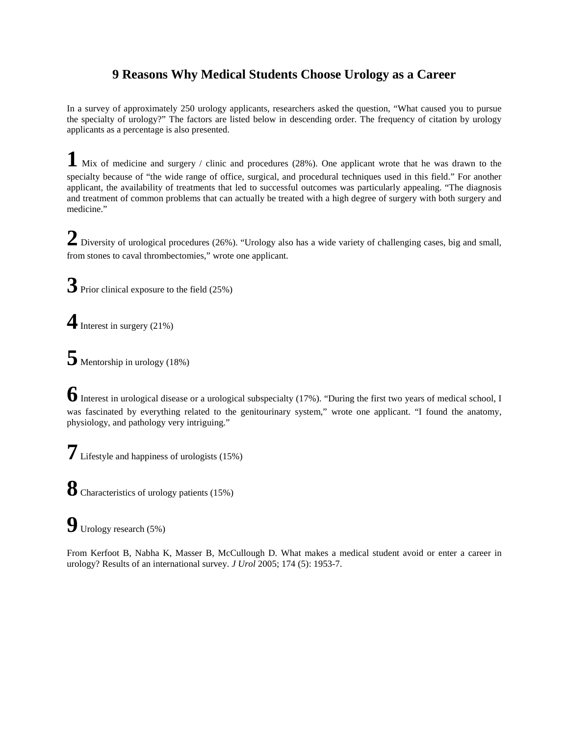#### **9 Reasons Why Medical Students Choose Urology as a Career**

In a survey of approximately 250 urology applicants, researchers asked the question, "What caused you to pursue the specialty of urology?" The factors are listed below in descending order. The frequency of citation by urology applicants as a percentage is also presented.

**1** Mix of medicine and surgery / clinic and procedures (28%). One applicant wrote that he was drawn to the specialty because of "the wide range of office, surgical, and procedural techniques used in this field." For another applicant, the availability of treatments that led to successful outcomes was particularly appealing. "The diagnosis and treatment of common problems that can actually be treated with a high degree of surgery with both surgery and medicine."

2 Diversity of urological procedures (26%). "Urology also has a wide variety of challenging cases, big and small, from stones to caval thrombectomies," wrote one applicant.

**3** Prior clinical exposure to the field (25%)

**4**Interest in surgery (21%)

**5** Mentorship in urology (18%)

**6**Interest in urological disease or a urological subspecialty (17%). "During the first two years of medical school, I was fascinated by everything related to the genitourinary system," wrote one applicant. "I found the anatomy, physiology, and pathology very intriguing."

**7** Lifestyle and happiness of urologists (15%)

**8** Characteristics of urology patients (15%)

**9** Urology research (5%)

From Kerfoot B, Nabha K, Masser B, McCullough D. What makes a medical student avoid or enter a career in urology? Results of an international survey. *J Urol* 2005; 174 (5): 1953-7.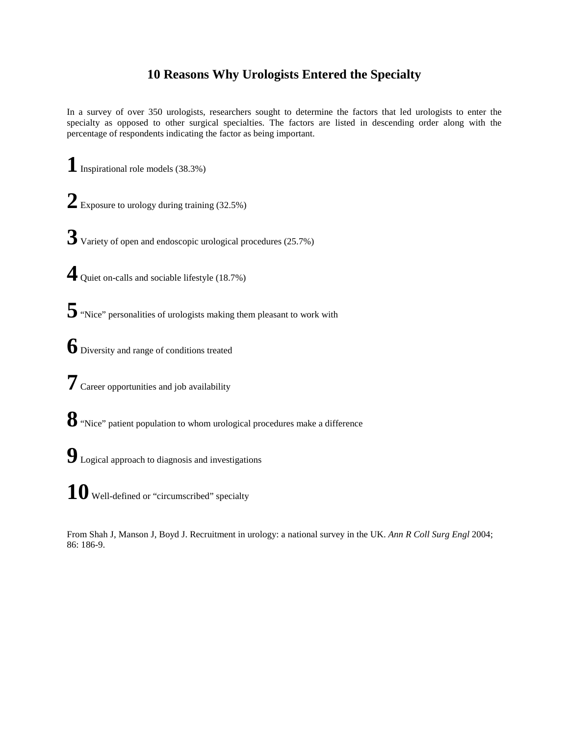#### **10 Reasons Why Urologists Entered the Specialty**

In a survey of over 350 urologists, researchers sought to determine the factors that led urologists to enter the specialty as opposed to other surgical specialties. The factors are listed in descending order along with the percentage of respondents indicating the factor as being important.

**1** Inspirational role models (38.3%)

2 Exposure to urology during training (32.5%)

**3** Variety of open and endoscopic urological procedures (25.7%)

**4** Quiet on-calls and sociable lifestyle (18.7%)

**5**"Nice" personalities of urologists making them pleasant to work with

**6** Diversity and range of conditions treated

**7** Career opportunities and job availability

**8**"Nice" patient population to whom urological procedures make a difference

**9** Logical approach to diagnosis and investigations

10 Well-defined or "circumscribed" specialty

From Shah J, Manson J, Boyd J. Recruitment in urology: a national survey in the UK. *Ann R Coll Surg Engl* 2004; 86: 186-9.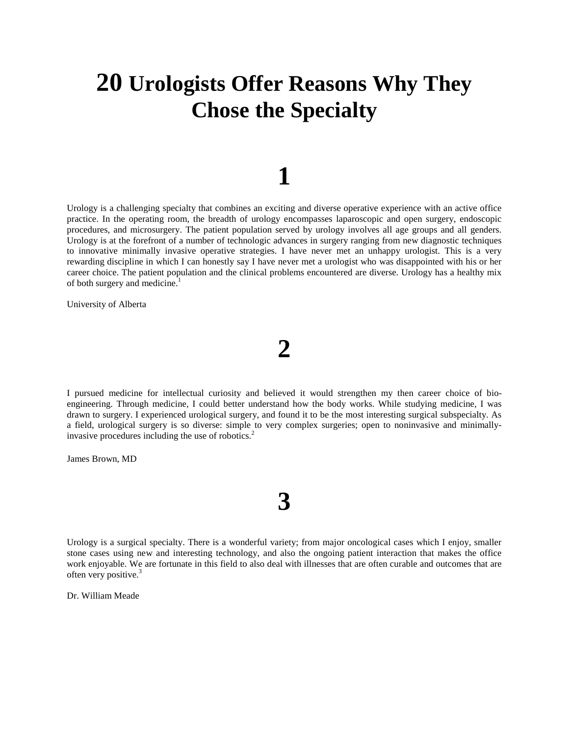#### **20 Urologists Offer Reasons Why They Chose the Specialty**

#### **1**

Urology is a challenging specialty that combines an exciting and diverse operative experience with an active office practice. In the operating room, the breadth of urology encompasses laparoscopic and open surgery, endoscopic procedures, and microsurgery. The patient population served by urology involves all age groups and all genders. Urology is at the forefront of a number of technologic advances in surgery ranging from new diagnostic techniques to innovative minimally invasive operative strategies. I have never met an unhappy urologist. This is a very rewarding discipline in which I can honestly say I have never met a urologist who was disappointed with his or her career choice. The patient population and the clinical problems encountered are diverse. Urology has a healthy mix of both surgery and medicine.<sup>1</sup>

University of Alberta

I pursued medicine for intellectual curiosity and believed it would strengthen my then career choice of bioengineering. Through medicine, I could better understand how the body works. While studying medicine, I was drawn to surgery. I experienced urological surgery, and found it to be the most interesting surgical subspecialty. As a field, urological surgery is so diverse: simple to very complex surgeries; open to noninvasive and minimallyinvasive procedures including the use of robotics.<sup>2</sup>

James Brown, MD

Urology is a surgical specialty. There is a wonderful variety; from major oncological cases which I enjoy, smaller stone cases using new and interesting technology, and also the ongoing patient interaction that makes the office work enjoyable. We are fortunate in this field to also deal with illnesses that are often curable and outcomes that are often very positive.<sup>3</sup>

**3**

Dr. William Meade

## **2**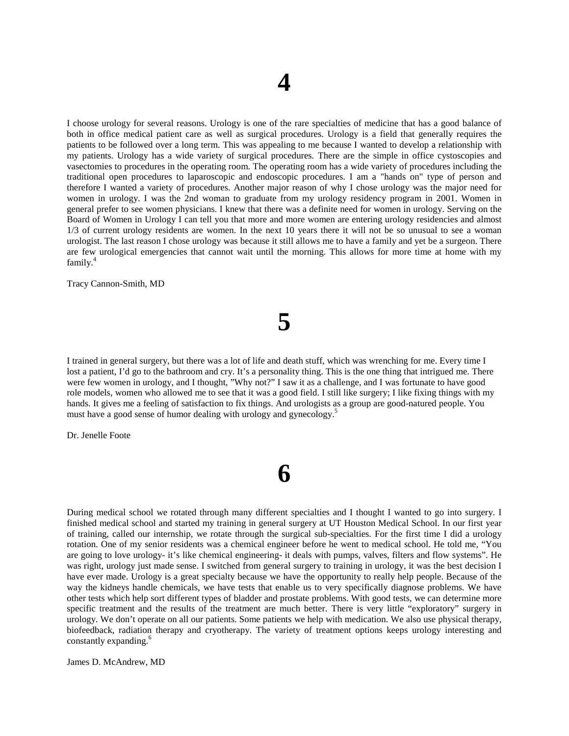I choose urology for several reasons. Urology is one of the rare specialties of medicine that has a good balance of both in office medical patient care as well as surgical procedures. Urology is a field that generally requires the patients to be followed over a long term. This was appealing to me because I wanted to develop a relationship with my patients. Urology has a wide variety of surgical procedures. There are the simple in office cystoscopies and vasectomies to procedures in the operating room. The operating room has a wide variety of procedures including the traditional open procedures to laparoscopic and endoscopic procedures. I am a "hands on" type of person and therefore I wanted a variety of procedures. Another major reason of why I chose urology was the major need for women in urology. I was the 2nd woman to graduate from my urology residency program in 2001. Women in general prefer to see women physicians. I knew that there was a definite need for women in urology. Serving on the Board of Women in Urology I can tell you that more and more women are entering urology residencies and almost 1/3 of current urology residents are women. In the next 10 years there it will not be so unusual to see a woman urologist. The last reason I chose urology was because it still allows me to have a family and yet be a surgeon. There are few urological emergencies that cannot wait until the morning. This allows for more time at home with my family.<sup>4</sup>

Tracy Cannon-Smith, MD

#### I trained in general surgery, but there was a lot of life and death stuff, which was wrenching for me. Every time I lost a patient, I'd go to the bathroom and cry. It's a personality thing. This is the one thing that intrigued me. There were few women in urology, and I thought, "Why not?" I saw it as a challenge, and I was fortunate to have good role models, women who allowed me to see that it was a good field. I still like surgery; I like fixing things with my hands. It gives me a feeling of satisfaction to fix things. And urologists as a group are good-natured people. You must have a good sense of humor dealing with urology and gynecology.<sup>5</sup>

**5**

Dr. Jenelle Foote

#### **6**

During medical school we rotated through many different specialties and I thought I wanted to go into surgery. I finished medical school and started my training in general surgery at UT Houston Medical School. In our first year of training, called our internship, we rotate through the surgical sub-specialties. For the first time I did a urology rotation. One of my senior residents was a chemical engineer before he went to medical school. He told me, "You are going to love urology- it's like chemical engineering- it deals with pumps, valves, filters and flow systems". He was right, urology just made sense. I switched from general surgery to training in urology, it was the best decision I have ever made. Urology is a great specialty because we have the opportunity to really help people. Because of the way the kidneys handle chemicals, we have tests that enable us to very specifically diagnose problems. We have other tests which help sort different types of bladder and prostate problems. With good tests, we can determine more specific treatment and the results of the treatment are much better. There is very little "exploratory" surgery in urology. We don't operate on all our patients. Some patients we help with medication. We also use physical therapy, biofeedback, radiation therapy and cryotherapy. The variety of treatment options keeps urology interesting and constantly expanding.<sup>6</sup>

James D. McAndrew, MD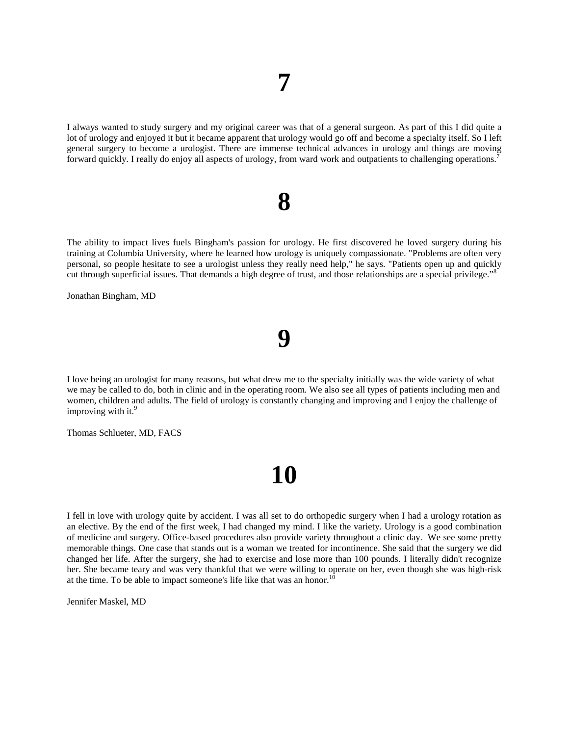I always wanted to study surgery and my original career was that of a general surgeon. As part of this I did quite a lot of urology and enjoyed it but it became apparent that urology would go off and become a specialty itself. So I left general surgery to become a urologist. There are immense technical advances in urology and things are moving forward quickly. I really do enjoy all aspects of urology, from ward work and outpatients to challenging operations.<sup>7</sup>

#### **8**

The ability to impact lives fuels Bingham's passion for urology. He first discovered he loved surgery during his training at Columbia University, where he learned how urology is uniquely compassionate. "Problems are often very personal, so people hesitate to see a urologist unless they really need help," he says. "Patients open up and quickly cut through superficial issues. That demands a high degree of trust, and those relationships are a special privilege."<sup>8</sup>

Jonathan Bingham, MD

I love being an urologist for many reasons, but what drew me to the specialty initially was the wide variety of what we may be called to do, both in clinic and in the operating room. We also see all types of patients including men and women, children and adults. The field of urology is constantly changing and improving and I enjoy the challenge of improving with it. $9$ 

**9**

Thomas Schlueter, MD, FACS

## **10**

I fell in love with urology quite by accident. I was all set to do orthopedic surgery when I had a urology rotation as an elective. By the end of the first week, I had changed my mind. I like the variety. Urology is a good combination of medicine and surgery. Office-based procedures also provide variety throughout a clinic day. We see some pretty memorable things. One case that stands out is a woman we treated for incontinence. She said that the surgery we did changed her life. After the surgery, she had to exercise and lose more than 100 pounds. I literally didn't recognize her. She became teary and was very thankful that we were willing to operate on her, even though she was high-risk at the time. To be able to impact someone's life like that was an honor.<sup>10</sup>

Jennifer Maskel, MD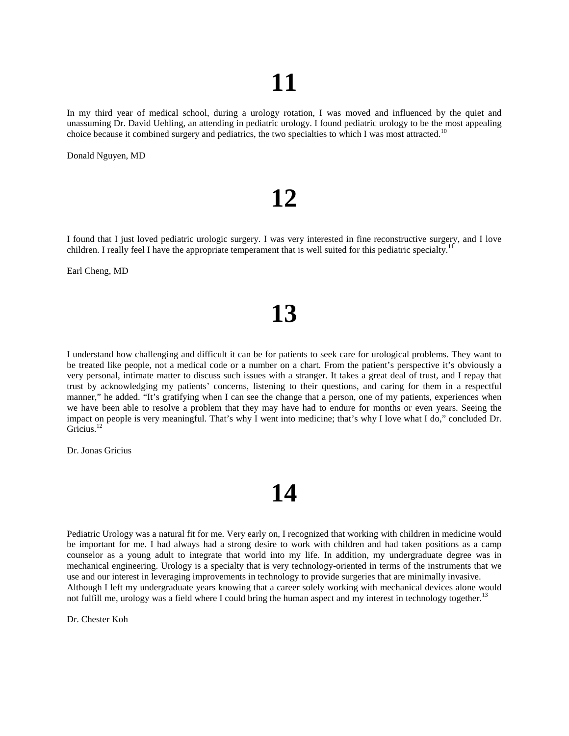In my third year of medical school, during a urology rotation, I was moved and influenced by the quiet and unassuming Dr. David Uehling, an attending in pediatric urology. I found pediatric urology to be the most appealing choice because it combined surgery and pediatrics, the two specialties to which I was most attracted.<sup>10</sup>

Donald Nguyen, MD

### **12**

I found that I just loved pediatric urologic surgery. I was very interested in fine reconstructive surgery, and I love children. I really feel I have the appropriate temperament that is well suited for this pediatric specialty.<sup>1</sup>

Earl Cheng, MD

### **13**

I understand how challenging and difficult it can be for patients to seek care for urological problems. They want to be treated like people, not a medical code or a number on a chart. From the patient's perspective it's obviously a very personal, intimate matter to discuss such issues with a stranger. It takes a great deal of trust, and I repay that trust by acknowledging my patients' concerns, listening to their questions, and caring for them in a respectful manner," he added. "It's gratifying when I can see the change that a person, one of my patients, experiences when we have been able to resolve a problem that they may have had to endure for months or even years. Seeing the impact on people is very meaningful. That's why I went into medicine; that's why I love what I do," concluded Dr. Gricius.<sup>12</sup>

Dr. Jonas Gricius

### **14**

Pediatric Urology was a natural fit for me. Very early on, I recognized that working with children in medicine would be important for me. I had always had a strong desire to work with children and had taken positions as a camp counselor as a young adult to integrate that world into my life. In addition, my undergraduate degree was in mechanical engineering. Urology is a specialty that is very technology-oriented in terms of the instruments that we use and our interest in leveraging improvements in technology to provide surgeries that are minimally invasive. Although I left my undergraduate years knowing that a career solely working with mechanical devices alone would not fulfill me, urology was a field where I could bring the human aspect and my interest in technology together.<sup>13</sup>

Dr. Chester Koh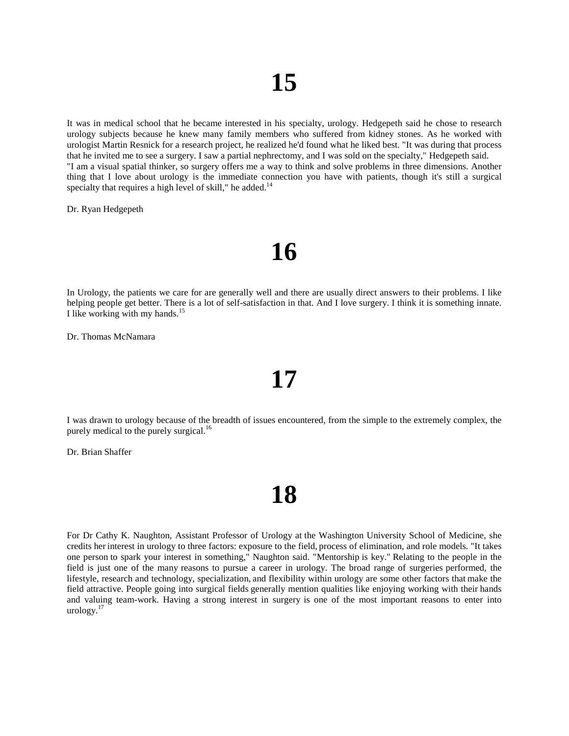It was in medical school that he became interested in his specialty, urology. Hedgepeth said he chose to research urology subjects because he knew many family members who suffered from kidney stones. As he worked with urologist Martin Resnick for a research project, he realized he'd found what he liked best. "It was during that process that he invited me to see a surgery. I saw a partial nephrectomy, and I was sold on the specialty," Hedgepeth said. "I am a visual spatial thinker, so surgery offers me a way to think and solve problems in three dimensions. Another thing that I love about urology is the immediate connection you have with patients, though it's still a surgical specialty that requires a high level of skill," he added. $14$ 

Dr. Ryan Hedgepeth

#### **16**

In Urology, the patients we care for are generally well and there are usually direct answers to their problems. I like helping people get better. There is a lot of self-satisfaction in that. And I love surgery. I think it is something innate. I like working with my hands.<sup>15</sup>

Dr. Thomas McNamara

I was drawn to urology because of the breadth of issues encountered, from the simple to the extremely complex, the purely medical to the purely surgical.<sup>16</sup>

**17**

Dr. Brian Shaffer

### **18**

For Dr Cathy K. Naughton, Assistant Professor of Urology at the Washington University School of Medicine, she credits her interest in urology to three factors: exposure to the field, process of elimination, and role models. "It takes one person to spark your interest in something," Naughton said. "Mentorship is key." Relating to the people in the field is just one of the many reasons to pursue a career in urology. The broad range of surgeries performed, the lifestyle, research and technology, specialization, and flexibility within urology are some other factors that make the field attractive. People going into surgical fields generally mention qualities like enjoying working with their hands and valuing team-work. Having a strong interest in surgery is one of the most important reasons to enter into urology. $17$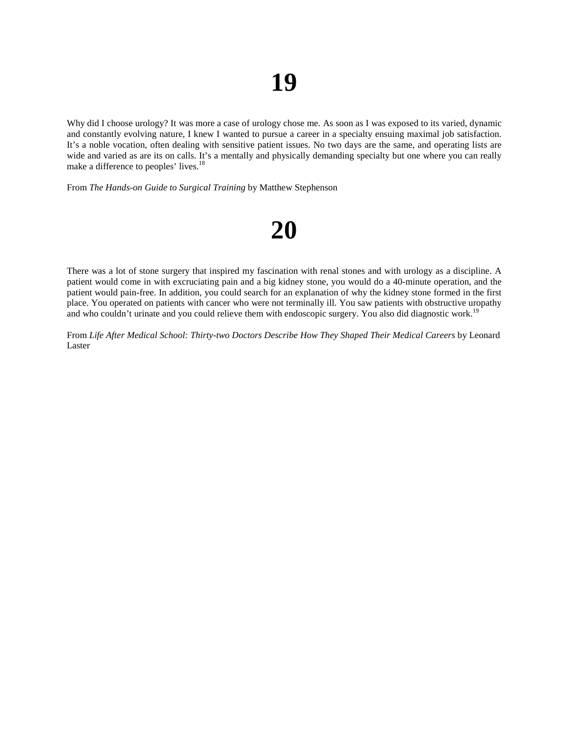Why did I choose urology? It was more a case of urology chose me. As soon as I was exposed to its varied, dynamic and constantly evolving nature, I knew I wanted to pursue a career in a specialty ensuing maximal job satisfaction. It's a noble vocation, often dealing with sensitive patient issues. No two days are the same, and operating lists are wide and varied as are its on calls. It's a mentally and physically demanding specialty but one where you can really make a difference to peoples' lives.<sup>18</sup>

From *The Hands-on Guide to Surgical Training* by Matthew Stephenson

## **20**

There was a lot of stone surgery that inspired my fascination with renal stones and with urology as a discipline. A patient would come in with excruciating pain and a big kidney stone, you would do a 40-minute operation, and the patient would pain-free. In addition, you could search for an explanation of why the kidney stone formed in the first place. You operated on patients with cancer who were not terminally ill. You saw patients with obstructive uropathy and who couldn't urinate and you could relieve them with endoscopic surgery. You also did diagnostic work.<sup>19</sup>

From *Life After Medical School: Thirty-two Doctors Describe How They Shaped Their Medical Careers* by Leonard Laster